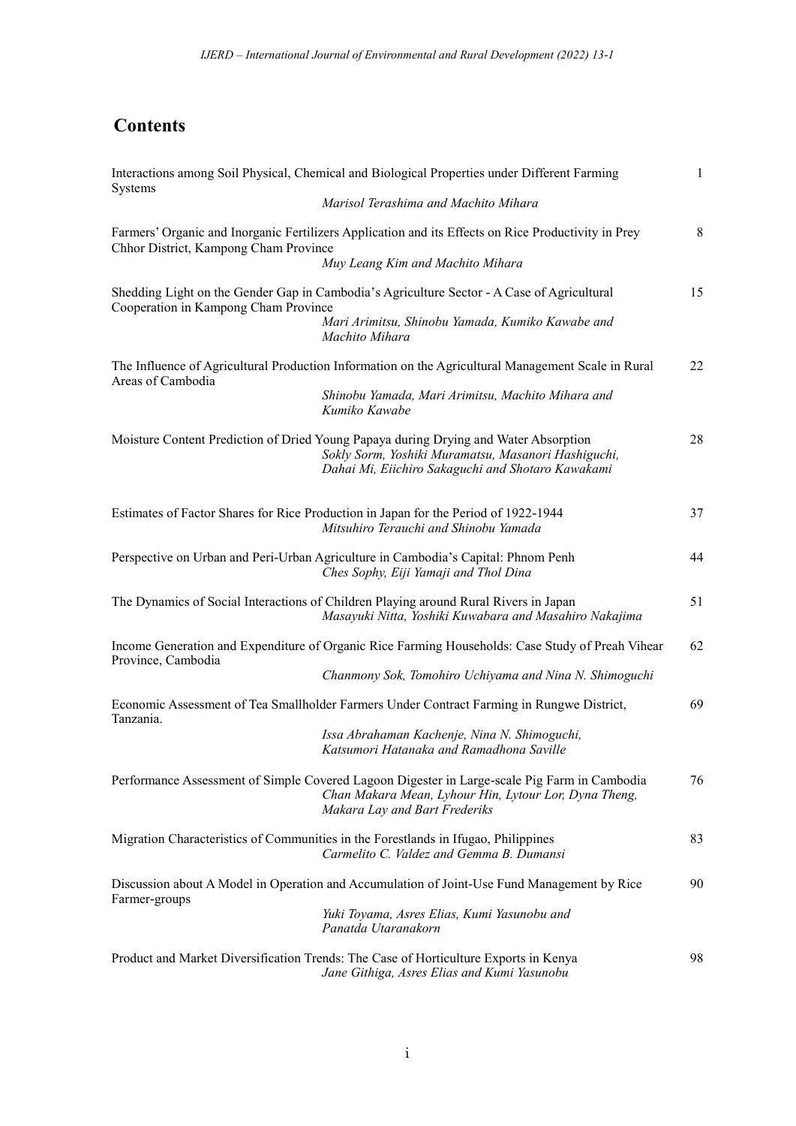## **Contents**

|                                       | Interactions among Soil Physical, Chemical and Biological Properties under Different Farming                                                                                                     | $\mathbf{1}$ |
|---------------------------------------|--------------------------------------------------------------------------------------------------------------------------------------------------------------------------------------------------|--------------|
| Systems                               | Marisol Terashima and Machito Mihara                                                                                                                                                             |              |
| Chhor District, Kampong Cham Province | Farmers' Organic and Inorganic Fertilizers Application and its Effects on Rice Productivity in Prey<br>Muy Leang Kim and Machito Mihara                                                          | 8            |
| Cooperation in Kampong Cham Province  | Shedding Light on the Gender Gap in Cambodia's Agriculture Sector - A Case of Agricultural<br>Mari Arimitsu, Shinobu Yamada, Kumiko Kawabe and<br>Machito Mihara                                 | 15           |
| Areas of Cambodia                     | The Influence of Agricultural Production Information on the Agricultural Management Scale in Rural<br>Shinobu Yamada, Mari Arimitsu, Machito Mihara and<br>Kumiko Kawabe                         | 22           |
|                                       | Moisture Content Prediction of Dried Young Papaya during Drying and Water Absorption<br>Sokly Sorm, Yoshiki Muramatsu, Masanori Hashiguchi,<br>Dahai Mi, Eiichiro Sakaguchi and Shotaro Kawakami | 28           |
|                                       | Estimates of Factor Shares for Rice Production in Japan for the Period of 1922-1944<br>Mitsuhiro Terauchi and Shinobu Yamada                                                                     | 37           |
|                                       | Perspective on Urban and Peri-Urban Agriculture in Cambodia's Capital: Phnom Penh<br>Ches Sophy, Eiji Yamaji and Thol Dina                                                                       | 44           |
|                                       | The Dynamics of Social Interactions of Children Playing around Rural Rivers in Japan<br>Masayuki Nitta, Yoshiki Kuwabara and Masahiro Nakajima                                                   | 51           |
| Province, Cambodia                    | Income Generation and Expenditure of Organic Rice Farming Households: Case Study of Preah Vihear<br>Chanmony Sok, Tomohiro Uchiyama and Nina N. Shimoguchi                                       | 62           |
| Tanzania.                             | Economic Assessment of Tea Smallholder Farmers Under Contract Farming in Rungwe District,<br>Issa Abrahaman Kachenje, Nina N. Shimoguchi,<br>Katsumori Hatanaka and Ramadhona Saville            | 69           |
|                                       | Performance Assessment of Simple Covered Lagoon Digester in Large-scale Pig Farm in Cambodia<br>Chan Makara Mean, Lyhour Hin, Lytour Lor, Dyna Theng,<br>Makara Lay and Bart Frederiks           | 76           |
|                                       | Migration Characteristics of Communities in the Forestlands in Ifugao, Philippines<br>Carmelito C. Valdez and Gemma B. Dumansi                                                                   | 83           |
| Farmer-groups                         | Discussion about A Model in Operation and Accumulation of Joint-Use Fund Management by Rice<br>Yuki Toyama, Asres Elias, Kumi Yasunobu and<br>Panatda Utaranakorn                                | 90           |
|                                       | Product and Market Diversification Trends: The Case of Horticulture Exports in Kenya<br>Jane Githiga, Asres Elias and Kumi Yasunobu                                                              | 98           |